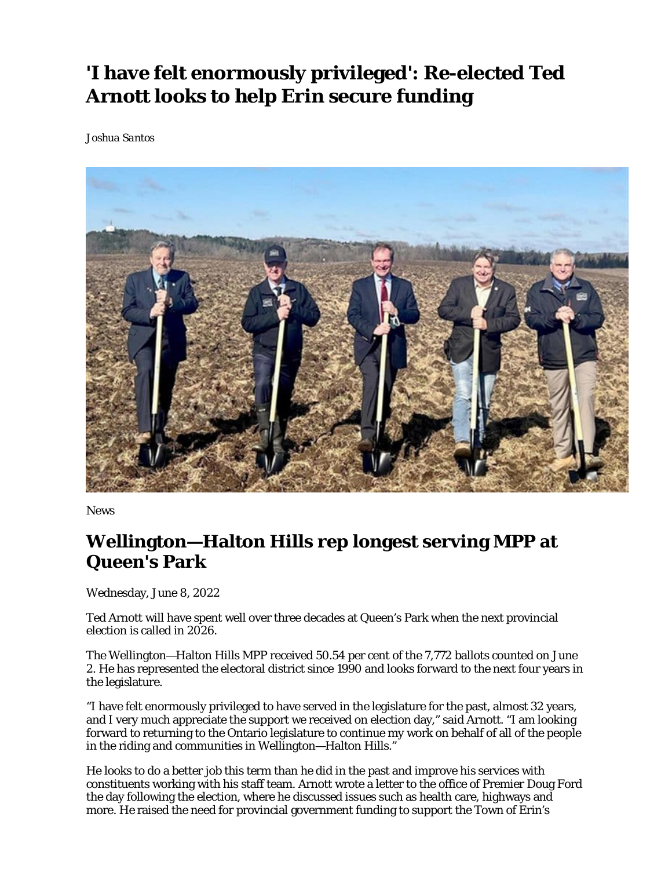## **'I have felt enormously privileged': Re-elected Ted Arnott looks to help Erin secure funding**

*Joshua Santos*



News

## **Wellington—Halton Hills rep longest serving MPP at Queen's Park**

Wednesday, June 8, 2022

Ted Arnott will have spent well over three decades at Queen's Park when the next provincial election is called in 2026.

The Wellington—Halton Hills MPP received 50.54 per cent of the 7,772 ballots counted on June 2. He has represented the electoral district since 1990 and looks forward to the next four years in the legislature.

"I have felt enormously privileged to have served in the legislature for the past, almost 32 years, and I very much appreciate the support we received on election day," said Arnott. "I am looking forward to returning to the Ontario legislature to continue my work on behalf of all of the people in the riding and communities in Wellington—Halton Hills."

He looks to do a better job this term than he did in the past and improve his services with constituents working with his staff team. Arnott wrote a letter to the office of Premier Doug Ford the day following the election, where he discussed issues such as health care, highways and more. He raised the need for provincial government funding to support the Town of Erin's